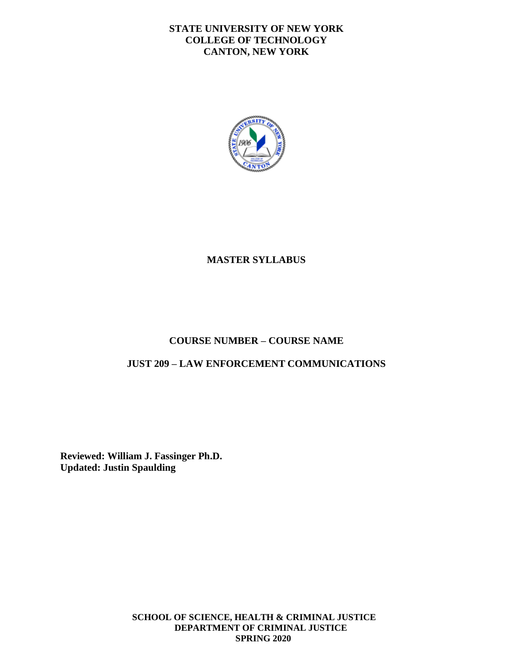#### **STATE UNIVERSITY OF NEW YORK COLLEGE OF TECHNOLOGY CANTON, NEW YORK**



## **MASTER SYLLABUS**

## **COURSE NUMBER – COURSE NAME**

#### **JUST 209 – LAW ENFORCEMENT COMMUNICATIONS**

**Reviewed: William J. Fassinger Ph.D. Updated: Justin Spaulding** 

> **SCHOOL OF SCIENCE, HEALTH & CRIMINAL JUSTICE DEPARTMENT OF CRIMINAL JUSTICE SPRING 2020**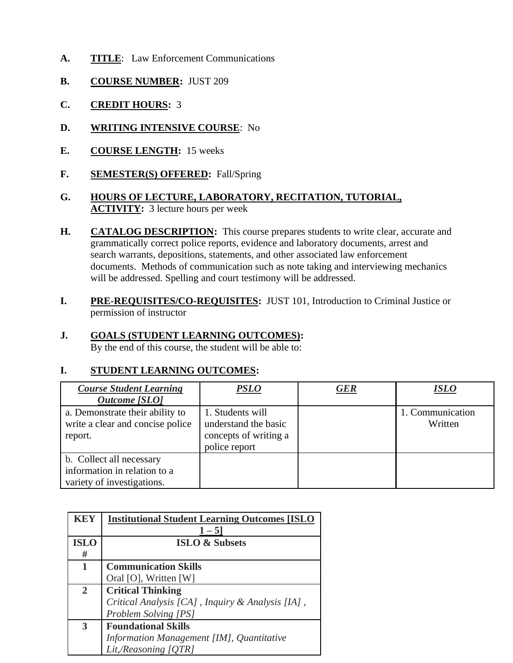- **A. TITLE**: Law Enforcement Communications
- **B. COURSE NUMBER:** JUST 209
- **C. CREDIT HOURS:** 3
- **D. WRITING INTENSIVE COURSE**: No
- **E. COURSE LENGTH:** 15 weeks
- **F. SEMESTER(S) OFFERED:** Fall/Spring
- **G. HOURS OF LECTURE, LABORATORY, RECITATION, TUTORIAL, ACTIVITY:** 3 lecture hours per week
- **H. CATALOG DESCRIPTION:** This course prepares students to write clear, accurate and grammatically correct police reports, evidence and laboratory documents, arrest and search warrants, depositions, statements, and other associated law enforcement documents. Methods of communication such as note taking and interviewing mechanics will be addressed. Spelling and court testimony will be addressed.
- **I. PRE-REQUISITES/CO-REQUISITES:** JUST 101, Introduction to Criminal Justice or permission of instructor

# **J. GOALS (STUDENT LEARNING OUTCOMES):**

By the end of this course, the student will be able to:

## **I. STUDENT LEARNING OUTCOMES:**

| <b>Course Student Learning</b><br><b>Outcome</b> [SLO]                                 | <b>PSLO</b>                                                                        | <b>GER</b> | ISLO                        |
|----------------------------------------------------------------------------------------|------------------------------------------------------------------------------------|------------|-----------------------------|
| a. Demonstrate their ability to<br>write a clear and concise police<br>report.         | 1. Students will<br>understand the basic<br>concepts of writing a<br>police report |            | 1. Communication<br>Written |
| b. Collect all necessary<br>information in relation to a<br>variety of investigations. |                                                                                    |            |                             |

| <b>KEY</b>  | <b>Institutional Student Learning Outcomes [ISLO</b> |
|-------------|------------------------------------------------------|
|             | $1 - 5$                                              |
| <b>ISLO</b> | <b>ISLO &amp; Subsets</b>                            |
| #           |                                                      |
| 1           | <b>Communication Skills</b>                          |
|             | Oral [O], Written [W]                                |
| 2           | <b>Critical Thinking</b>                             |
|             | Critical Analysis [CA], Inquiry & Analysis [IA],     |
|             | Problem Solving [PS]                                 |
| 3           | <b>Foundational Skills</b>                           |
|             | Information Management [IM], Quantitative            |
|             | Lit,/Reasoning [QTR]                                 |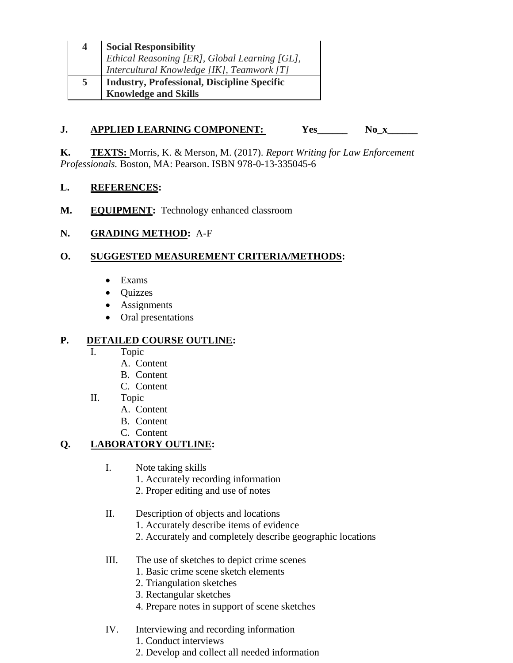| $\overline{4}$ | Social Responsibility<br>Ethical Reasoning [ER], Global Learning [GL],<br>Intercultural Knowledge [IK], Teamwork [T] |
|----------------|----------------------------------------------------------------------------------------------------------------------|
|                |                                                                                                                      |
|                |                                                                                                                      |
| 5              | Industry, Professional, Discipline Specific<br>Knowledge and Skills                                                  |
|                |                                                                                                                      |

# **J. APPLIED LEARNING COMPONENT:** Yes\_\_\_\_\_\_ No\_x\_\_\_\_\_<br>**K.** TEXTS: Morris, K. & Merson, M. (2017). *Report Writing for Law Enforcement*

*Professionals.* Boston, MA: Pearson. ISBN 978-0-13-335045-6

#### **REFERENCES:**

L. REFERENCES:<br>M. EQUIPMENT: Technology enhanced classroom

#### **N. GRADING METHOD:** A-F

#### **O. SUGGESTED MEASUREMENT CRITERIA/METHODS:**

- Exams
- Quizzes
- Assignments
- Oral presentations

#### **P. DETAILED COURSE OUTLINE:**

- I. Topic
	- A. Content
	- B. Content
	- C. Content
- II. Topic
	- A. Content
	- B. Content
	- C. Content

# **Q. LABORATORY OUTLINE:**

- I. Note taking skills
	- 1. Accurately recording information
	- 2. Proper editing and use of notes
- II. Description of objects and locations
	- 1. Accurately describe items of evidence
	- 2. Accurately and completely describe geographic locations
- III. The use of sketches to depict crime scenes
	- 1. Basic crime scene sketch elements
	- 2. Triangulation sketches
	- 3. Rectangular sketches
	- 4. Prepare notes in support of scene sketches
- IV. Interviewing and recording information
	- 1. Conduct interviews
	- 2. Develop and collect all needed information